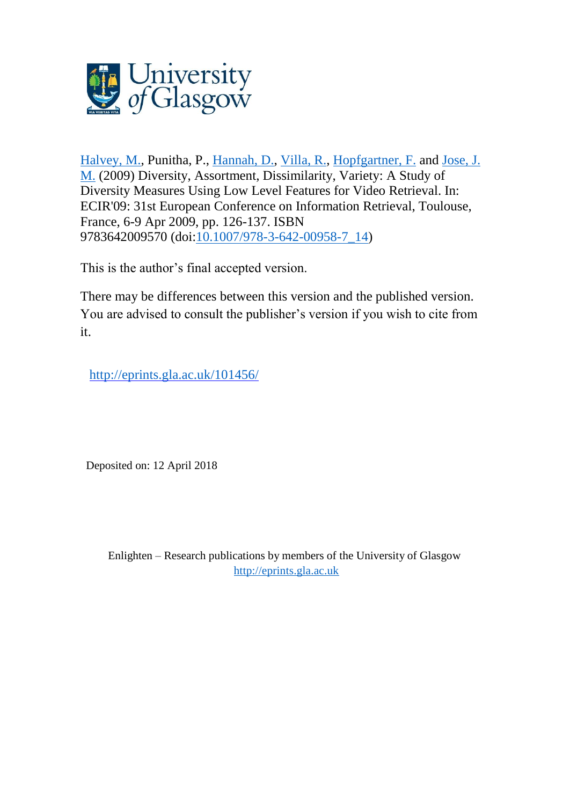

[Halvey, M.,](http://eprints.gla.ac.uk/view/author/9109.html) Punitha, P., [Hannah, D.,](http://eprints.gla.ac.uk/view/author/4361.html) [Villa, R.,](http://eprints.gla.ac.uk/view/author/11273.html) [Hopfgartner, F.](http://eprints.gla.ac.uk/view/author/5693.html) and [Jose, J.](http://eprints.gla.ac.uk/view/author/7010.html)  [M.](http://eprints.gla.ac.uk/view/author/7010.html) (2009) Diversity, Assortment, Dissimilarity, Variety: A Study of Diversity Measures Using Low Level Features for Video Retrieval. In: ECIR'09: 31st European Conference on Information Retrieval, Toulouse, France, 6-9 Apr 2009, pp. 126-137. ISBN 9783642009570 (doi[:10.1007/978-3-642-00958-7\\_14\)](http://dx.doi.org/10.1007/978-3-642-00958-7_14)

This is the author's final accepted version.

There may be differences between this version and the published version. You are advised to consult the publisher's version if you wish to cite from it.

<http://eprints.gla.ac.uk/101456/>

Deposited on: 12 April 2018

Enlighten – Research publications by members of the University of Glasgow [http://eprints.gla.ac.uk](http://eprints.gla.ac.uk/)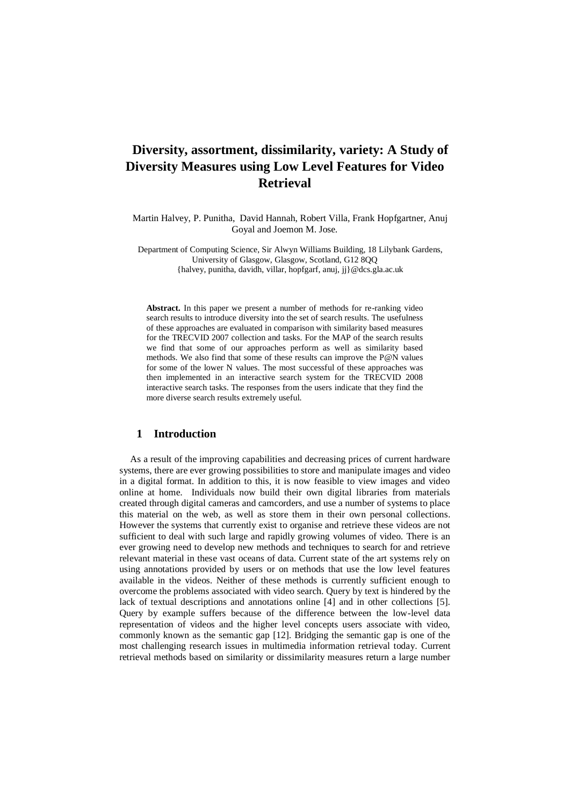# **Diversity, assortment, dissimilarity, variety: A Study of Diversity Measures using Low Level Features for Video Retrieval**

Martin Halvey, P. Punitha, David Hannah, Robert Villa, Frank Hopfgartner, Anuj Goyal and Joemon M. Jose.

Department of Computing Science, Sir Alwyn Williams Building, 18 Lilybank Gardens, University of Glasgow, Glasgow, Scotland, G12 8QQ {halvey, punitha, davidh, villar, hopfgarf, anuj, jj}@dcs.gla.ac.uk

**Abstract.** In this paper we present a number of methods for re-ranking video search results to introduce diversity into the set of search results. The usefulness of these approaches are evaluated in comparison with similarity based measures for the TRECVID 2007 collection and tasks. For the MAP of the search results we find that some of our approaches perform as well as similarity based methods. We also find that some of these results can improve the P@N values for some of the lower N values. The most successful of these approaches was then implemented in an interactive search system for the TRECVID 2008 interactive search tasks. The responses from the users indicate that they find the more diverse search results extremely useful.

# **1 Introduction**

As a result of the improving capabilities and decreasing prices of current hardware systems, there are ever growing possibilities to store and manipulate images and video in a digital format. In addition to this, it is now feasible to view images and video online at home. Individuals now build their own digital libraries from materials created through digital cameras and camcorders, and use a number of systems to place this material on the web, as well as store them in their own personal collections. However the systems that currently exist to organise and retrieve these videos are not sufficient to deal with such large and rapidly growing volumes of video. There is an ever growing need to develop new methods and techniques to search for and retrieve relevant material in these vast oceans of data. Current state of the art systems rely on using annotations provided by users or on methods that use the low level features available in the videos. Neither of these methods is currently sufficient enough to overcome the problems associated with video search. Query by text is hindered by the lack of textual descriptions and annotations online [\[4\]](#page-12-0) and in other collections [\[5\]](#page-12-1). Query by example suffers because of the difference between the low-level data representation of videos and the higher level concepts users associate with video, commonly known as the semantic gap [\[12\]](#page-12-2). Bridging the semantic gap is one of the most challenging research issues in multimedia information retrieval today. Current retrieval methods based on similarity or dissimilarity measures return a large number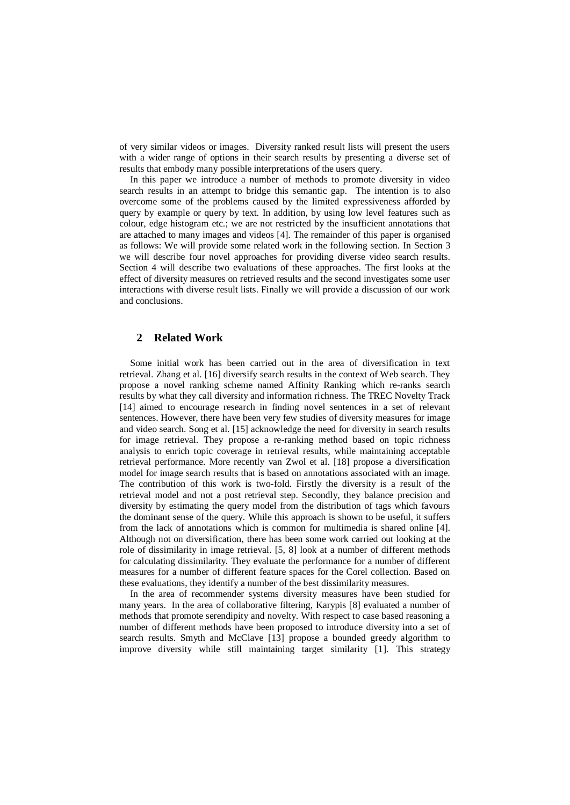of very similar videos or images. Diversity ranked result lists will present the users with a wider range of options in their search results by presenting a diverse set of results that embody many possible interpretations of the users query.

In this paper we introduce a number of methods to promote diversity in video search results in an attempt to bridge this semantic gap. The intention is to also overcome some of the problems caused by the limited expressiveness afforded by query by example or query by text. In addition, by using low level features such as colour, edge histogram etc.; we are not restricted by the insufficient annotations that are attached to many images and videos [\[4\]](#page-12-0). The remainder of this paper is organised as follows: We will provide some related work in the following section. In Section 3 we will describe four novel approaches for providing diverse video search results. Section 4 will describe two evaluations of these approaches. The first looks at the effect of diversity measures on retrieved results and the second investigates some user interactions with diverse result lists. Finally we will provide a discussion of our work and conclusions.

## **2 Related Work**

Some initial work has been carried out in the area of diversification in text retrieval. Zhang et al. [\[16\]](#page-12-3) diversify search results in the context of Web search. They propose a novel ranking scheme named Affinity Ranking which re-ranks search results by what they call diversity and information richness. The TREC Novelty Track [\[14\]](#page-12-4) aimed to encourage research in finding novel sentences in a set of relevant sentences. However, there have been very few studies of diversity measures for image and video search. Song et al. [\[15\]](#page-12-5) acknowledge the need for diversity in search results for image retrieval. They propose a re-ranking method based on topic richness analysis to enrich topic coverage in retrieval results, while maintaining acceptable retrieval performance. More recently van Zwol et al. [\[18\]](#page-12-6) propose a diversification model for image search results that is based on annotations associated with an image. The contribution of this work is two-fold. Firstly the diversity is a result of the retrieval model and not a post retrieval step. Secondly, they balance precision and diversity by estimating the query model from the distribution of tags which favours the dominant sense of the query. While this approach is shown to be useful, it suffers from the lack of annotations which is common for multimedia is shared online [\[4\]](#page-12-0). Although not on diversification, there has been some work carried out looking at the role of dissimilarity in image retrieval. [\[5,](#page-12-7) [8\]](#page-12-8) look at a number of different methods for calculating dissimilarity. They evaluate the performance for a number of different measures for a number of different feature spaces for the Corel collection. Based on these evaluations, they identify a number of the best dissimilarity measures.

In the area of recommender systems diversity measures have been studied for many years. In the area of collaborative filtering, Karypis [\[8\]](#page-12-9) evaluated a number of methods that promote serendipity and novelty. With respect to case based reasoning a number of different methods have been proposed to introduce diversity into a set of search results. Smyth and McClave [\[13\]](#page-12-10) propose a bounded greedy algorithm to improve diversity while still maintaining target similarity [\[1\]](#page-12-11). This strategy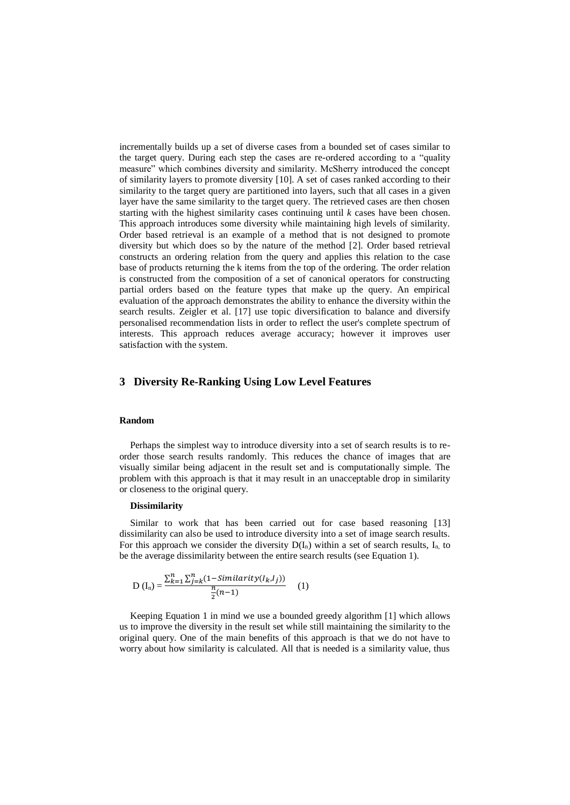incrementally builds up a set of diverse cases from a bounded set of cases similar to the target query. During each step the cases are re-ordered according to a "quality measure" which combines diversity and similarity. McSherry introduced the concept of similarity layers to promote diversity [\[10\]](#page-12-12). A set of cases ranked according to their similarity to the target query are partitioned into layers, such that all cases in a given layer have the same similarity to the target query. The retrieved cases are then chosen starting with the highest similarity cases continuing until *k* cases have been chosen. This approach introduces some diversity while maintaining high levels of similarity. Order based retrieval is an example of a method that is not designed to promote diversity but which does so by the nature of the method [\[2\]](#page-12-13). Order based retrieval constructs an ordering relation from the query and applies this relation to the case base of products returning the k items from the top of the ordering. The order relation is constructed from the composition of a set of canonical operators for constructing partial orders based on the feature types that make up the query. An empirical evaluation of the approach demonstrates the ability to enhance the diversity within the search results. Zeigler et al. [\[17\]](#page-12-14) use topic diversification to balance and diversify personalised recommendation lists in order to reflect the user's complete spectrum of interests. This approach reduces average accuracy; however it improves user satisfaction with the system.

# **3 Diversity Re-Ranking Using Low Level Features**

#### **Random**

Perhaps the simplest way to introduce diversity into a set of search results is to reorder those search results randomly. This reduces the chance of images that are visually similar being adjacent in the result set and is computationally simple. The problem with this approach is that it may result in an unacceptable drop in similarity or closeness to the original query.

#### **Dissimilarity**

Similar to work that has been carried out for case based reasoning [\[13\]](#page-12-10) dissimilarity can also be used to introduce diversity into a set of image search results. For this approach we consider the diversity  $D(I_n)$  within a set of search results,  $I_n$  to be the average dissimilarity between the entire search results (see Equation 1).

$$
D(I_n) = \frac{\sum_{k=1}^{n} \sum_{j=k}^{n} (1 - similarity(I_k, I_j))}{\frac{n}{2}(n-1)}
$$
 (1)

Keeping Equation 1 in mind we use a bounded greedy algorithm [\[1\]](#page-12-11) which allows us to improve the diversity in the result set while still maintaining the similarity to the original query. One of the main benefits of this approach is that we do not have to worry about how similarity is calculated. All that is needed is a similarity value, thus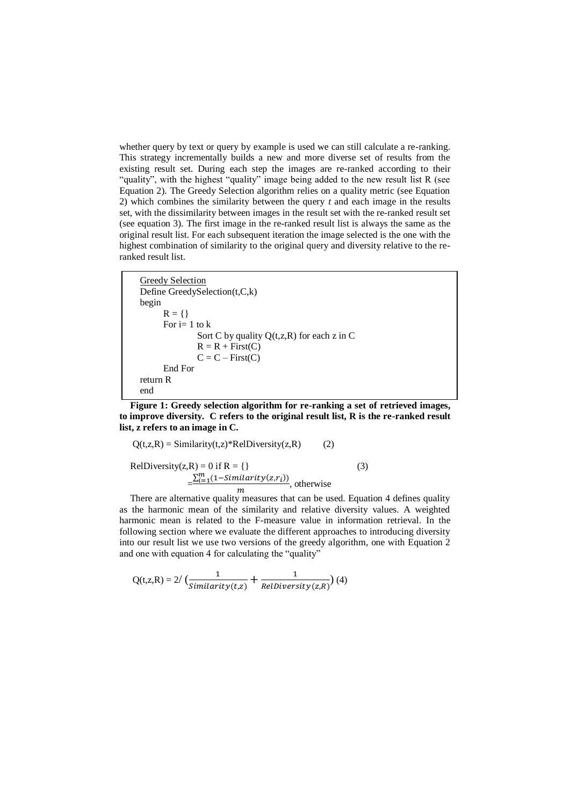whether query by text or query by example is used we can still calculate a re-ranking. This strategy incrementally builds a new and more diverse set of results from the existing result set. During each step the images are re-ranked according to their "quality", with the highest "quality" image being added to the new result list R (see Equation 2). The Greedy Selection algorithm relies on a quality metric (see Equation 2) which combines the similarity between the query *t* and each image in the results set, with the dissimilarity between images in the result set with the re-ranked result set (see equation 3). The first image in the re-ranked result list is always the same as the original result list. For each subsequent iteration the image selected is the one with the highest combination of similarity to the original query and diversity relative to the reranked result list.

```
Greedy Selection
Define GreedySelection(t,C,k)
begin
     R = \{\}For i=1 to kSort C by quality Q(t,z,R) for each z in C
              R = R + First(C)C = C - First(C)End For
return R
end
```
**Figure 1: Greedy selection algorithm for re-ranking a set of retrieved images, to improve diversity. C refers to the original result list, R is the re-ranked result list, z refers to an image in C.**

$$
Q(t, z, R) = \text{Similarity}(t, z)^* \text{RelDiversity}(z, R)
$$
\n
$$
\text{RelDiversity}(z, R) = 0 \text{ if } R = \{\}
$$
\n
$$
= \frac{\sum_{i=1}^{m} (1 - \text{Similarity}(z, r_i))}{m}, \text{otherwise}
$$
\n
$$
(3)
$$

There are alternative quality measures that can be used. Equation 4 defines quality as the harmonic mean of the similarity and relative diversity values. A weighted harmonic mean is related to the F-measure value in information retrieval. In the following section where we evaluate the different approaches to introducing diversity into our result list we use two versions of the greedy algorithm, one with Equation 2 and one with equation 4 for calculating the "quality"

$$
Q(t,z,R) = 2/\left(\frac{1}{Similarity(t,z)} + \frac{1}{RelDiversity(z,R)}\right)(4)
$$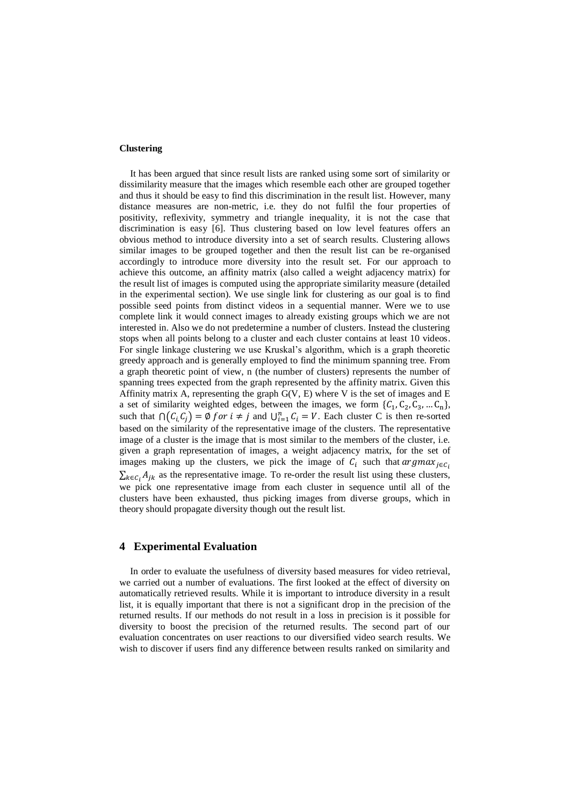#### **Clustering**

It has been argued that since result lists are ranked using some sort of similarity or dissimilarity measure that the images which resemble each other are grouped together and thus it should be easy to find this discrimination in the result list. However, many distance measures are non-metric, i.e. they do not fulfil the four properties of positivity, reflexivity, symmetry and triangle inequality, it is not the case that discrimination is easy [\[6\]](#page-12-15). Thus clustering based on low level features offers an obvious method to introduce diversity into a set of search results. Clustering allows similar images to be grouped together and then the result list can be re-organised accordingly to introduce more diversity into the result set. For our approach to achieve this outcome, an affinity matrix (also called a weight adjacency matrix) for the result list of images is computed using the appropriate similarity measure (detailed in the experimental section). We use single link for clustering as our goal is to find possible seed points from distinct videos in a sequential manner. Were we to use complete link it would connect images to already existing groups which we are not interested in. Also we do not predetermine a number of clusters. Instead the clustering stops when all points belong to a cluster and each cluster contains at least 10 videos. For single linkage clustering we use Kruskal's algorithm, which is a graph theoretic greedy approach and is generally employed to find the minimum spanning tree. From a graph theoretic point of view, n (the number of clusters) represents the number of spanning trees expected from the graph represented by the affinity matrix. Given this Affinity matrix A, representing the graph  $G(V, E)$  where V is the set of images and E a set of similarity weighted edges, between the images, we form  $\{C_1, C_2, C_3, ... C_n\}$ , such that  $\bigcap (C_i, C_j) = \emptyset$  for  $i \neq j$  and  $\bigcup_{i=1}^n C_i = V$ . Each cluster C is then re-sorted based on the similarity of the representative image of the clusters. The representative image of a cluster is the image that is most similar to the members of the cluster, i.e. given a graph representation of images, a weight adjacency matrix, for the set of images making up the clusters, we pick the image of  $C_i$  such that  $argmax_{j \in C_i}$  $\sum_{k \in C_i} A_{jk}$  as the representative image. To re-order the result list using these clusters, we pick one representative image from each cluster in sequence until all of the clusters have been exhausted, thus picking images from diverse groups, which in theory should propagate diversity though out the result list.

## **4 Experimental Evaluation**

In order to evaluate the usefulness of diversity based measures for video retrieval, we carried out a number of evaluations. The first looked at the effect of diversity on automatically retrieved results. While it is important to introduce diversity in a result list, it is equally important that there is not a significant drop in the precision of the returned results. If our methods do not result in a loss in precision is it possible for diversity to boost the precision of the returned results. The second part of our evaluation concentrates on user reactions to our diversified video search results. We wish to discover if users find any difference between results ranked on similarity and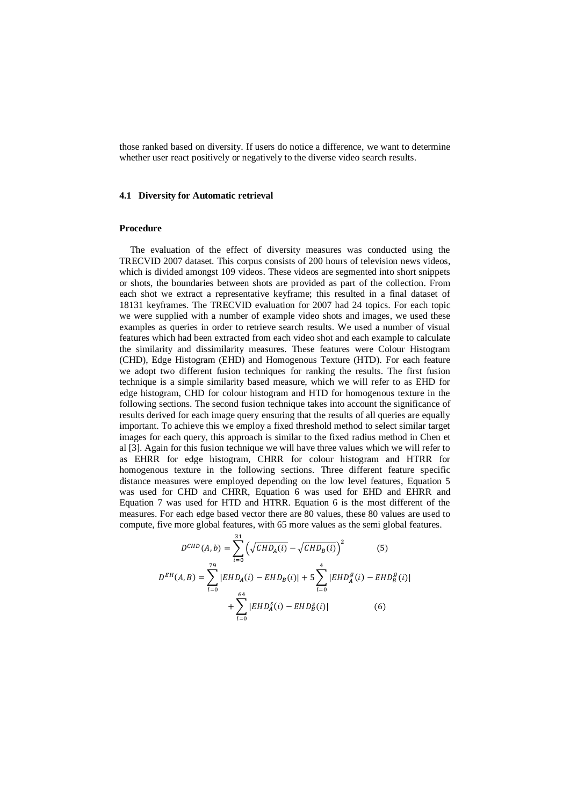those ranked based on diversity. If users do notice a difference, we want to determine whether user react positively or negatively to the diverse video search results.

#### **4.1 Diversity for Automatic retrieval**

#### **Procedure**

The evaluation of the effect of diversity measures was conducted using the TRECVID 2007 dataset. This corpus consists of 200 hours of television news videos, which is divided amongst 109 videos. These videos are segmented into short snippets or shots, the boundaries between shots are provided as part of the collection. From each shot we extract a representative keyframe; this resulted in a final dataset of 18131 keyframes. The TRECVID evaluation for 2007 had 24 topics. For each topic we were supplied with a number of example video shots and images, we used these examples as queries in order to retrieve search results. We used a number of visual features which had been extracted from each video shot and each example to calculate the similarity and dissimilarity measures. These features were Colour Histogram (CHD), Edge Histogram (EHD) and Homogenous Texture (HTD). For each feature we adopt two different fusion techniques for ranking the results. The first fusion technique is a simple similarity based measure, which we will refer to as EHD for edge histogram, CHD for colour histogram and HTD for homogenous texture in the following sections. The second fusion technique takes into account the significance of results derived for each image query ensuring that the results of all queries are equally important. To achieve this we employ a fixed threshold method to select similar target images for each query, this approach is similar to the fixed radius method in Chen et al [\[3\]](#page-12-16). Again for this fusion technique we will have three values which we will refer to as EHRR for edge histogram, CHRR for colour histogram and HTRR for homogenous texture in the following sections. Three different feature specific distance measures were employed depending on the low level features, Equation 5 was used for CHD and CHRR, Equation 6 was used for EHD and EHRR and Equation 7 was used for HTD and HTRR. Equation 6 is the most different of the measures. For each edge based vector there are 80 values, these 80 values are used to compute, five more global features, with 65 more values as the semi global features.

$$
D^{CHD}(A, b) = \sum_{i=0}^{31} \left(\sqrt{CHD_A(i)} - \sqrt{CHD_B(i)}\right)^2
$$
(5)  

$$
D^{EH}(A, B) = \sum_{i=0}^{79} |EHD_A(i) - EHD_B(i)| + 5 \sum_{i=0}^{4} |EHD_A^g(i) - EHD_B^g(i)|
$$

$$
+ \sum_{i=0}^{64} |EHD_A^S(i) - EHD_B^S(i)|
$$
(6)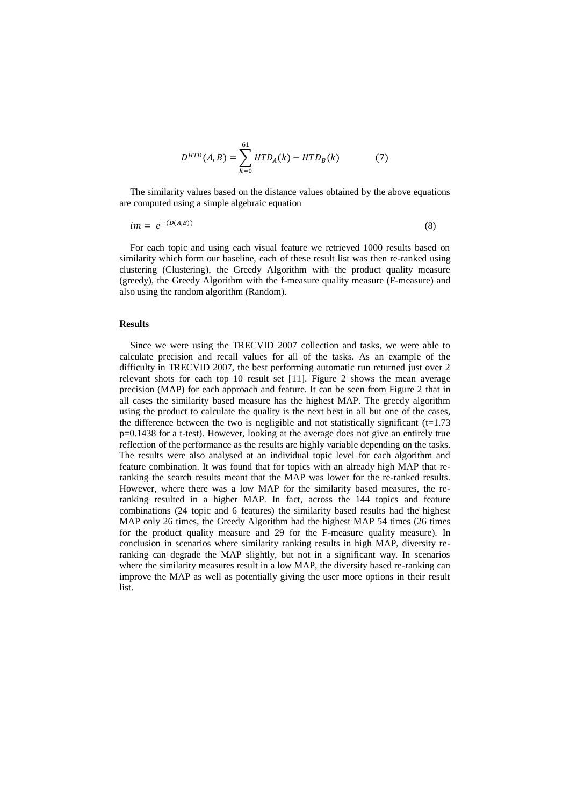$$
D^{HTD}(A,B) = \sum_{k=0}^{61} HTD_A(k) - HTD_B(k)
$$
 (7)

The similarity values based on the distance values obtained by the above equations are computed using a simple algebraic equation

$$
im = e^{-(D(A,B))} \tag{8}
$$

For each topic and using each visual feature we retrieved 1000 results based on similarity which form our baseline, each of these result list was then re-ranked using clustering (Clustering), the Greedy Algorithm with the product quality measure (greedy), the Greedy Algorithm with the f-measure quality measure (F-measure) and also using the random algorithm (Random).

#### **Results**

Since we were using the TRECVID 2007 collection and tasks, we were able to calculate precision and recall values for all of the tasks. As an example of the difficulty in TRECVID 2007, the best performing automatic run returned just over 2 relevant shots for each top 10 result set [\[11\]](#page-12-17). Figure 2 shows the mean average precision (MAP) for each approach and feature. It can be seen from Figure 2 that in all cases the similarity based measure has the highest MAP. The greedy algorithm using the product to calculate the quality is the next best in all but one of the cases, the difference between the two is negligible and not statistically significant  $(t=1.73)$ p=0.1438 for a t-test). However, looking at the average does not give an entirely true reflection of the performance as the results are highly variable depending on the tasks. The results were also analysed at an individual topic level for each algorithm and feature combination. It was found that for topics with an already high MAP that reranking the search results meant that the MAP was lower for the re-ranked results. However, where there was a low MAP for the similarity based measures, the reranking resulted in a higher MAP. In fact, across the 144 topics and feature combinations (24 topic and 6 features) the similarity based results had the highest MAP only 26 times, the Greedy Algorithm had the highest MAP 54 times (26 times for the product quality measure and 29 for the F-measure quality measure). In conclusion in scenarios where similarity ranking results in high MAP, diversity reranking can degrade the MAP slightly, but not in a significant way. In scenarios where the similarity measures result in a low MAP, the diversity based re-ranking can improve the MAP as well as potentially giving the user more options in their result list.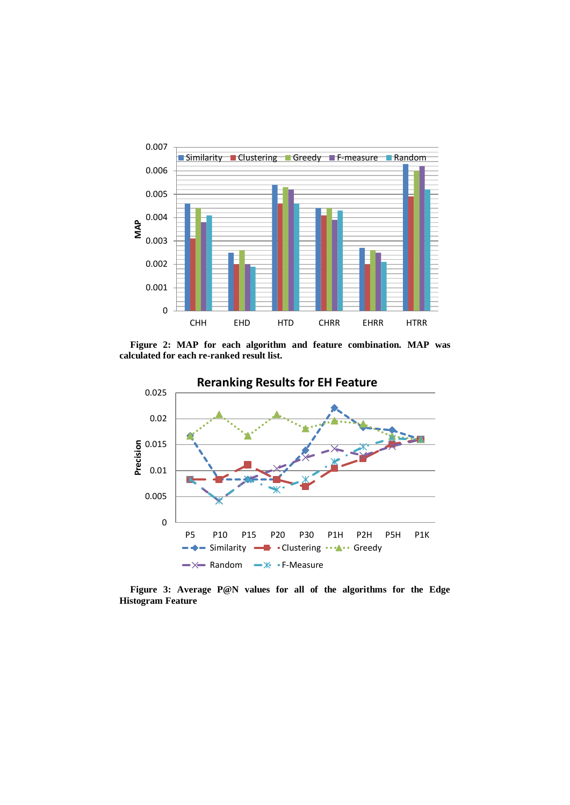

**Figure 2: MAP for each algorithm and feature combination. MAP was calculated for each re-ranked result list.**



**Figure 3: Average P@N values for all of the algorithms for the Edge Histogram Feature**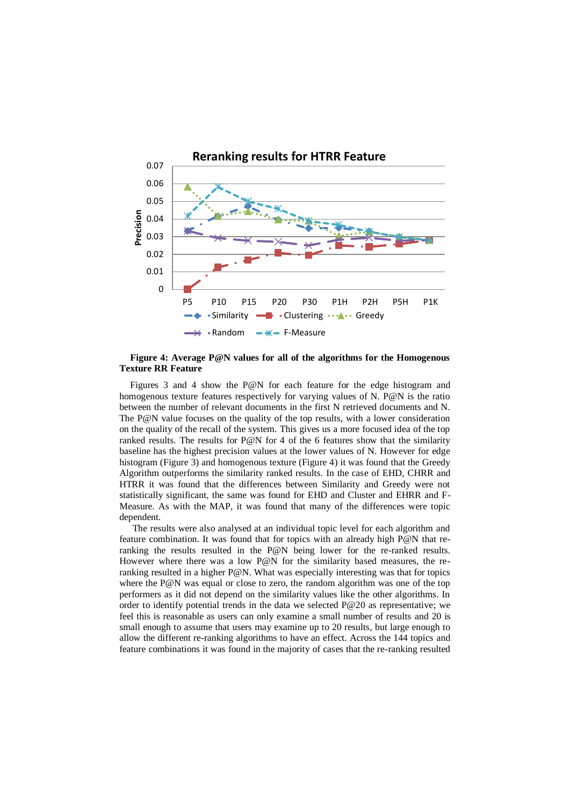

### **Figure 4: Average P@N values for all of the algorithms for the Homogenous Texture RR Feature**

Figures 3 and 4 show the P@N for each feature for the edge histogram and homogenous texture features respectively for varying values of N. P@N is the ratio between the number of relevant documents in the first N retrieved documents and N. The P@N value focuses on the quality of the top results, with a lower consideration on the quality of the recall of the system. This gives us a more focused idea of the top ranked results. The results for P@N for 4 of the 6 features show that the similarity baseline has the highest precision values at the lower values of N. However for edge histogram (Figure 3) and homogenous texture (Figure 4) it was found that the Greedy Algorithm outperforms the similarity ranked results. In the case of EHD, CHRR and HTRR it was found that the differences between Similarity and Greedy were not statistically significant, the same was found for EHD and Cluster and EHRR and F-Measure. As with the MAP, it was found that many of the differences were topic dependent.

The results were also analysed at an individual topic level for each algorithm and feature combination. It was found that for topics with an already high P@N that reranking the results resulted in the P@N being lower for the re-ranked results. However where there was a low P@N for the similarity based measures, the reranking resulted in a higher P@N. What was especially interesting was that for topics where the P@N was equal or close to zero, the random algorithm was one of the top performers as it did not depend on the similarity values like the other algorithms. In order to identify potential trends in the data we selected  $P@20$  as representative; we feel this is reasonable as users can only examine a small number of results and 20 is small enough to assume that users may examine up to 20 results, but large enough to allow the different re-ranking algorithms to have an effect. Across the 144 topics and feature combinations it was found in the majority of cases that the re-ranking resulted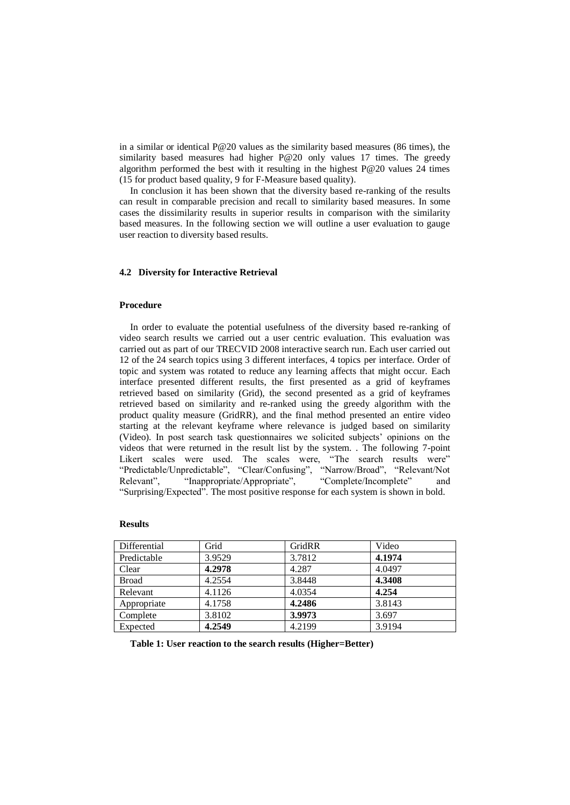in a similar or identical P@20 values as the similarity based measures (86 times), the similarity based measures had higher P@20 only values 17 times. The greedy algorithm performed the best with it resulting in the highest  $P@20$  values 24 times (15 for product based quality, 9 for F-Measure based quality).

In conclusion it has been shown that the diversity based re-ranking of the results can result in comparable precision and recall to similarity based measures. In some cases the dissimilarity results in superior results in comparison with the similarity based measures. In the following section we will outline a user evaluation to gauge user reaction to diversity based results.

#### **4.2 Diversity for Interactive Retrieval**

#### **Procedure**

In order to evaluate the potential usefulness of the diversity based re-ranking of video search results we carried out a user centric evaluation. This evaluation was carried out as part of our TRECVID 2008 interactive search run. Each user carried out 12 of the 24 search topics using 3 different interfaces, 4 topics per interface. Order of topic and system was rotated to reduce any learning affects that might occur. Each interface presented different results, the first presented as a grid of keyframes retrieved based on similarity (Grid), the second presented as a grid of keyframes retrieved based on similarity and re-ranked using the greedy algorithm with the product quality measure (GridRR), and the final method presented an entire video starting at the relevant keyframe where relevance is judged based on similarity (Video). In post search task questionnaires we solicited subjects' opinions on the videos that were returned in the result list by the system. . The following 7-point Likert scales were used. The scales were, "The search results were" "Predictable/Unpredictable", "Clear/Confusing", "Narrow/Broad", "Relevant/Not Relevant", "Inappropriate/Appropriate", "Complete/Incomplete" and "Surprising/Expected". The most positive response for each system is shown in bold.

| Differential | Grid   | GridRR | Video  |
|--------------|--------|--------|--------|
| Predictable  | 3.9529 | 3.7812 | 4.1974 |
| Clear        | 4.2978 | 4.287  | 4.0497 |
| <b>Broad</b> | 4.2554 | 3.8448 | 4.3408 |
| Relevant     | 4.1126 | 4.0354 | 4.254  |
| Appropriate  | 4.1758 | 4.2486 | 3.8143 |
| Complete     | 3.8102 | 3.9973 | 3.697  |
| Expected     | 4.2549 | 4.2199 | 3.9194 |

#### **Results**

**Table 1: User reaction to the search results (Higher=Better)**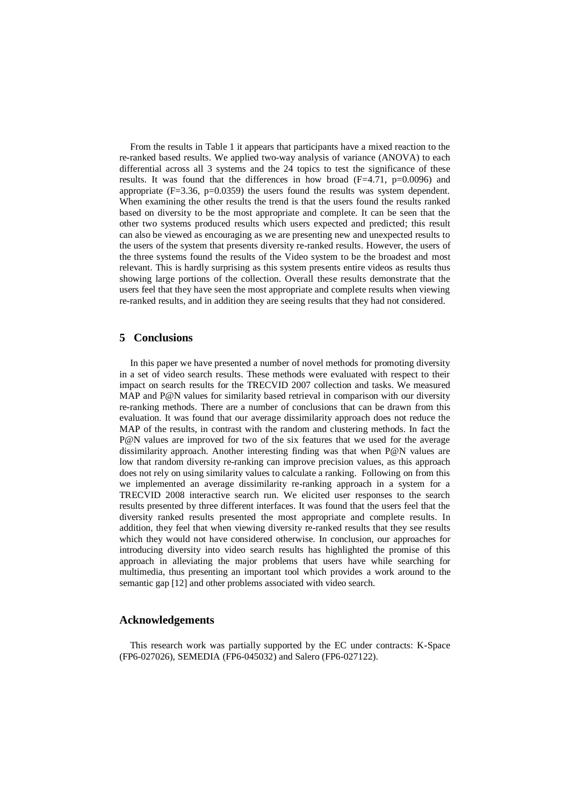From the results in Table 1 it appears that participants have a mixed reaction to the re-ranked based results. We applied two-way analysis of variance (ANOVA) to each differential across all 3 systems and the 24 topics to test the significance of these results. It was found that the differences in how broad  $(F=4.71, p=0.0096)$  and appropriate  $(F=3.36, p=0.0359)$  the users found the results was system dependent. When examining the other results the trend is that the users found the results ranked based on diversity to be the most appropriate and complete. It can be seen that the other two systems produced results which users expected and predicted; this result can also be viewed as encouraging as we are presenting new and unexpected results to the users of the system that presents diversity re-ranked results. However, the users of the three systems found the results of the Video system to be the broadest and most relevant. This is hardly surprising as this system presents entire videos as results thus showing large portions of the collection. Overall these results demonstrate that the users feel that they have seen the most appropriate and complete results when viewing re-ranked results, and in addition they are seeing results that they had not considered.

## **5 Conclusions**

In this paper we have presented a number of novel methods for promoting diversity in a set of video search results. These methods were evaluated with respect to their impact on search results for the TRECVID 2007 collection and tasks. We measured MAP and P@N values for similarity based retrieval in comparison with our diversity re-ranking methods. There are a number of conclusions that can be drawn from this evaluation. It was found that our average dissimilarity approach does not reduce the MAP of the results, in contrast with the random and clustering methods. In fact the P@N values are improved for two of the six features that we used for the average dissimilarity approach. Another interesting finding was that when P@N values are low that random diversity re-ranking can improve precision values, as this approach does not rely on using similarity values to calculate a ranking. Following on from this we implemented an average dissimilarity re-ranking approach in a system for a TRECVID 2008 interactive search run. We elicited user responses to the search results presented by three different interfaces. It was found that the users feel that the diversity ranked results presented the most appropriate and complete results. In addition, they feel that when viewing diversity re-ranked results that they see results which they would not have considered otherwise. In conclusion, our approaches for introducing diversity into video search results has highlighted the promise of this approach in alleviating the major problems that users have while searching for multimedia, thus presenting an important tool which provides a work around to the semantic gap [\[12\]](#page-12-2) and other problems associated with video search.

## **Acknowledgements**

This research work was partially supported by the EC under contracts: K-Space (FP6-027026), SEMEDIA (FP6-045032) and Salero (FP6-027122).